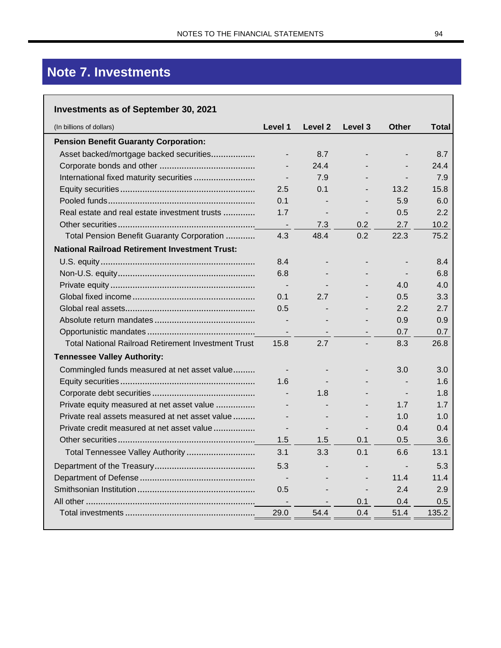## Note 7. Investments

## **Investments as of September 30, 2021**

| (In billions of dollars)                                   | Level 1        | Level 2                  | Level 3 | <b>Other</b> | Total |
|------------------------------------------------------------|----------------|--------------------------|---------|--------------|-------|
| <b>Pension Benefit Guaranty Corporation:</b>               |                |                          |         |              |       |
| Asset backed/mortgage backed securities                    | $\blacksquare$ | 8.7                      |         |              | 8.7   |
|                                                            |                | 24.4                     |         |              | 24.4  |
|                                                            |                | 7.9                      |         |              | 7.9   |
|                                                            | 2.5            | 0.1                      |         | 13.2         | 15.8  |
|                                                            | 0.1            |                          |         | 5.9          | 6.0   |
| Real estate and real estate investment trusts              | 1.7            | $\blacksquare$           |         | 0.5          | 2.2   |
|                                                            |                | 7.3                      | 0.2     | 2.7          | 10.2  |
| Total Pension Benefit Guaranty Corporation                 | 4.3            | 48.4                     | 0.2     | 22.3         | 75.2  |
| <b>National Railroad Retirement Investment Trust:</b>      |                |                          |         |              |       |
|                                                            | 8.4            |                          |         |              | 8.4   |
|                                                            | 6.8            |                          |         |              | 6.8   |
|                                                            |                | $\blacksquare$           |         | 4.0          | 4.0   |
|                                                            | 0.1            | 2.7                      |         | 0.5          | 3.3   |
|                                                            | 0.5            |                          |         | 2.2          | 2.7   |
|                                                            |                |                          |         | 0.9          | 0.9   |
|                                                            |                |                          |         | 0.7          | 0.7   |
| <b>Total National Railroad Retirement Investment Trust</b> | 15.8           | 2.7                      |         | 8.3          | 26.8  |
| <b>Tennessee Valley Authority:</b>                         |                |                          |         |              |       |
| Commingled funds measured at net asset value               |                |                          |         | 3.0          | 3.0   |
|                                                            | 1.6            |                          |         |              | 1.6   |
|                                                            |                | 1.8                      |         |              | 1.8   |
| Private equity measured at net asset value                 |                |                          |         | 1.7          | 1.7   |
| Private real assets measured at net asset value            |                |                          |         | 1.0          | 1.0   |
| Private credit measured at net asset value                 |                |                          |         | 0.4          | 0.4   |
|                                                            | 1.5            | 1.5                      | 0.1     | 0.5          | 3.6   |
| Total Tennessee Valley Authority                           | 3.1            | 3.3                      | 0.1     | 6.6          | 13.1  |
|                                                            | 5.3            |                          |         |              | 5.3   |
|                                                            |                |                          |         | 11.4         | 11.4  |
|                                                            | 0.5            |                          |         | 2.4          | 2.9   |
|                                                            |                | $\overline{\phantom{a}}$ | 0.1     | 0.4          | 0.5   |
|                                                            | 29.0           | 54.4                     | 0.4     | 51.4         | 135.2 |
|                                                            |                |                          |         |              |       |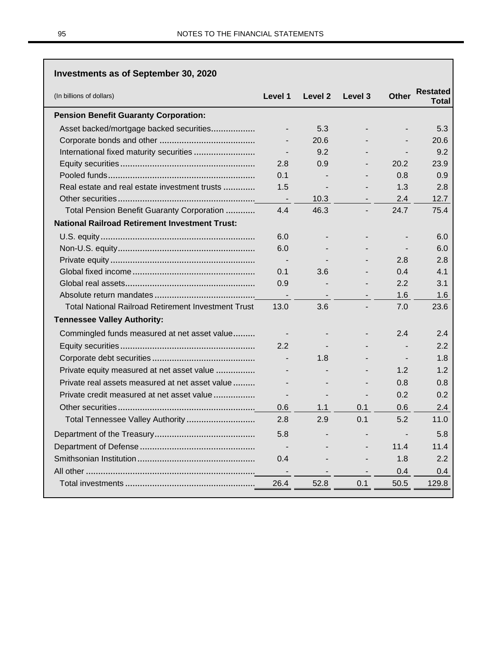| <b>Investments as of September 30, 2020</b>                |                          |                          |                |                          |                          |
|------------------------------------------------------------|--------------------------|--------------------------|----------------|--------------------------|--------------------------|
| (In billions of dollars)                                   | Level 1                  | Level 2                  | Level 3        | <b>Other</b>             | <b>Restated</b><br>Total |
| <b>Pension Benefit Guaranty Corporation:</b>               |                          |                          |                |                          |                          |
| Asset backed/mortgage backed securities                    |                          | 5.3                      |                |                          | 5.3                      |
|                                                            |                          | 20.6                     |                |                          | 20.6                     |
|                                                            | $\overline{\phantom{a}}$ | 9.2                      |                |                          | 9.2                      |
|                                                            | 2.8                      | 0.9                      |                | 20.2                     | 23.9                     |
|                                                            | 0.1                      |                          |                | 0.8                      | 0.9                      |
| Real estate and real estate investment trusts              | 1.5                      |                          |                | 1.3                      | 2.8                      |
|                                                            | $\sim$                   | 10.3                     |                | 2.4                      | 12.7                     |
| Total Pension Benefit Guaranty Corporation                 | 4.4                      | 46.3                     | $\blacksquare$ | 24.7                     | 75.4                     |
| <b>National Railroad Retirement Investment Trust:</b>      |                          |                          |                |                          |                          |
|                                                            | 6.0                      |                          |                |                          | 6.0                      |
|                                                            | 6.0                      |                          |                | $\overline{\phantom{a}}$ | 6.0                      |
|                                                            | $\sim$                   |                          |                | 2.8                      | 2.8                      |
|                                                            | 0.1                      | 3.6                      |                | 0.4                      | 4.1                      |
|                                                            | 0.9                      |                          |                | 2.2                      | 3.1                      |
|                                                            |                          |                          |                | 1.6                      | 1.6                      |
| <b>Total National Railroad Retirement Investment Trust</b> | 13.0                     | 3.6                      |                | 7.0                      | 23.6                     |
| <b>Tennessee Valley Authority:</b>                         |                          |                          |                |                          |                          |
| Commingled funds measured at net asset value               |                          |                          |                | 2.4                      | 2.4                      |
|                                                            | 2.2                      |                          |                |                          | $2.2^{\circ}$            |
|                                                            | $\overline{a}$           | 1.8                      |                |                          | 1.8                      |
| Private equity measured at net asset value                 |                          |                          |                | 1.2                      | 1.2                      |
| Private real assets measured at net asset value            |                          |                          |                | 0.8                      | 0.8                      |
| Private credit measured at net asset value                 | $\overline{\phantom{a}}$ | $\overline{\phantom{a}}$ |                | 0.2                      | 0.2                      |
|                                                            | 0.6                      | 1.1                      | 0.1            | 0.6                      | 2.4                      |
|                                                            | 2.8                      | 2.9                      | 0.1            | 5.2                      | 11.0                     |
|                                                            | 5.8                      |                          |                |                          | 5.8                      |
|                                                            |                          |                          |                | 11.4                     | 11.4                     |
|                                                            | 0.4                      |                          |                | 1.8                      | 2.2                      |
|                                                            | $\overline{\phantom{a}}$ |                          |                | 0.4                      | 0.4                      |
|                                                            | 26.4                     | 52.8                     | 0.1            | 50.5                     | 129.8                    |